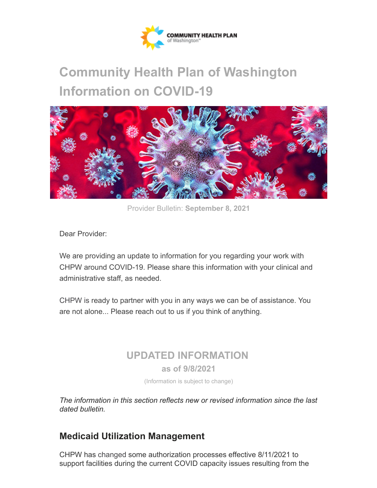

# **Community Health Plan of Washington Information on COVID-19**



Provider Bulletin: **September 8, 2021**

Dear Provider:

We are providing an update to information for you regarding your work with CHPW around COVID-19. Please share this information with your clinical and administrative staff, as needed.

CHPW is ready to partner with you in any ways we can be of assistance. You are not alone... Please reach out to us if you think of anything.

## **UPDATED INFORMATION**

**as of 9/8/2021**

(Information is subject to change)

*The information in this section reflects new or revised information since the last dated bulletin.*

## **Medicaid Utilization Management**

CHPW has changed some authorization processes effective 8/11/2021 to support facilities during the current COVID capacity issues resulting from the